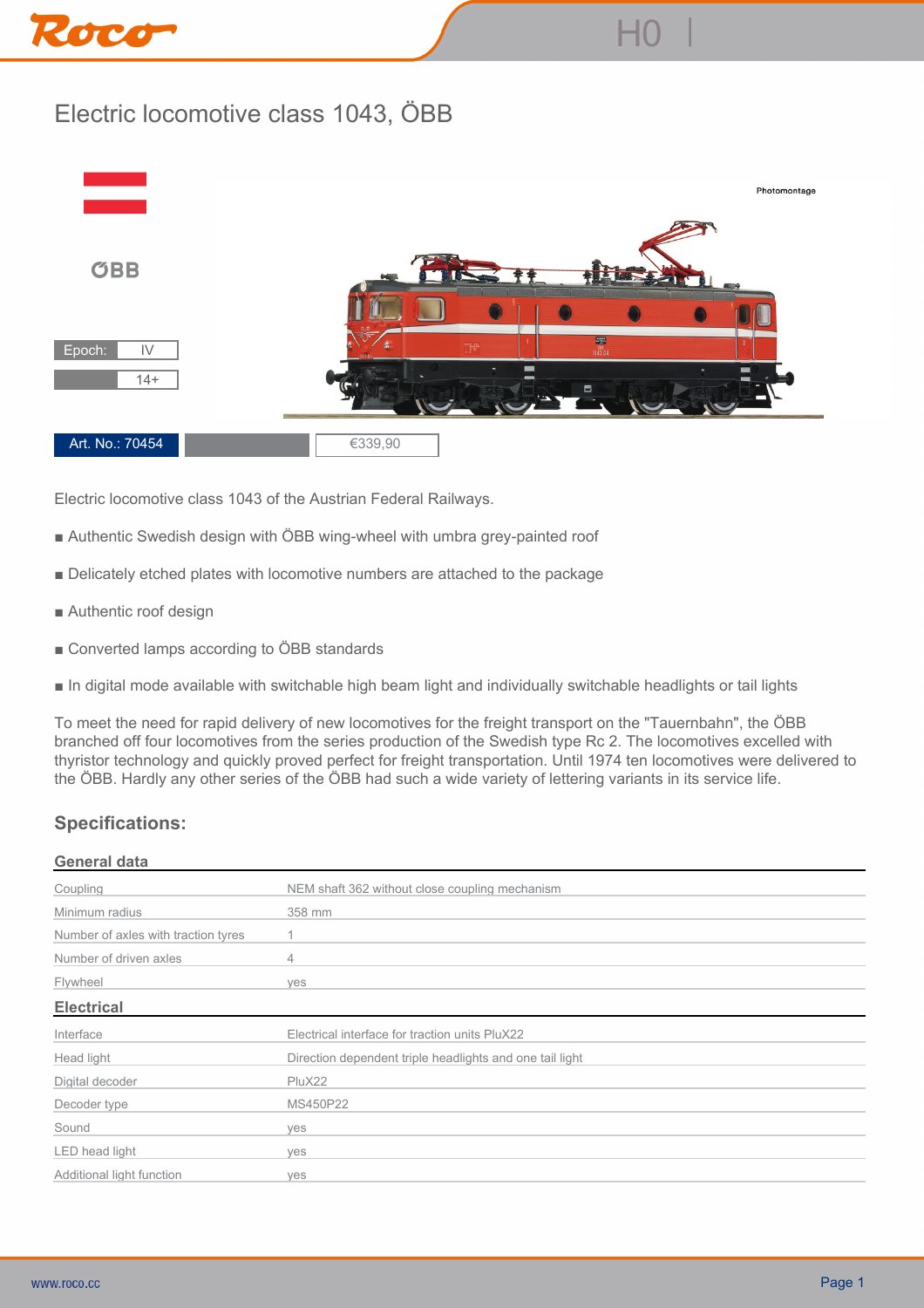## Roco



**H0 |**

**Electric locomotive class 1043 of the Austrian Federal Railways.**

- **Authentic Swedish design with ÖBB wing-wheel with umbra grey-painted roof**
- **Delicately etched plates with locomotive numbers are attached to the package**
- **Authentic roof design**
- **Converted lamps according to ÖBB standards**
- **In digital mode available with switchable high beam light and individually switchable headlights or tail lights**

**To meet the need for rapid delivery of new locomotives for the freight transport on the "Tauernbahn", the ÖBB branched off four locomotives from the series production of the Swedish type Rc 2. The locomotives excelled with thyristor technology and quickly proved perfect for freight transportation. Until 1974 ten locomotives were delivered to the ÖBB. Hardly any other series of the ÖBB had such a wide variety of lettering variants in its service life.**

## **Specifications:**

## **General data**

| Coupling                            | NEM shaft 362 without close coupling mechanism           |
|-------------------------------------|----------------------------------------------------------|
| Minimum radius                      | 358 mm                                                   |
| Number of axles with traction tyres |                                                          |
| Number of driven axles              | 4                                                        |
| Flywheel                            | ves                                                      |
| <b>Electrical</b>                   |                                                          |
| Interface                           | Electrical interface for traction units PluX22           |
| Head light                          | Direction dependent triple headlights and one tail light |
| Digital decoder                     | PluX22                                                   |
| Decoder type                        | MS450P22                                                 |
| Sound                               | ves                                                      |
| LED head light                      | ves                                                      |
| Additional light function           | ves                                                      |